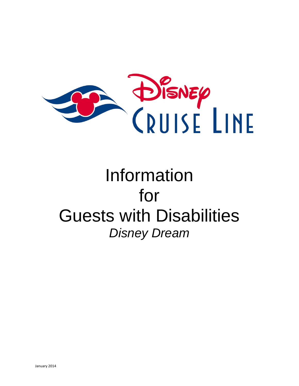

# Information for Guests with Disabilities *Disney Dream*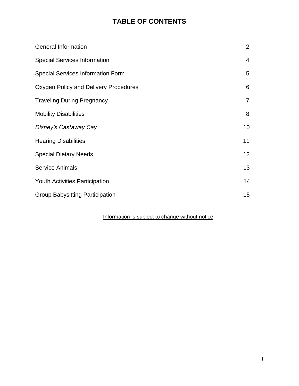## **TABLE OF CONTENTS**

| <b>General Information</b>               | 2               |
|------------------------------------------|-----------------|
| <b>Special Services Information</b>      | $\overline{4}$  |
| <b>Special Services Information Form</b> | 5               |
| Oxygen Policy and Delivery Procedures    | 6               |
| <b>Traveling During Pregnancy</b>        | $\overline{7}$  |
| <b>Mobility Disabilities</b>             | 8               |
| Disney's Castaway Cay                    | 10              |
| <b>Hearing Disabilities</b>              | 11              |
| <b>Special Dietary Needs</b>             | 12 <sub>2</sub> |
| <b>Service Animals</b>                   | 13              |
| <b>Youth Activities Participation</b>    | 14              |
| <b>Group Babysitting Participation</b>   | 15              |

### Information is subject to change without notice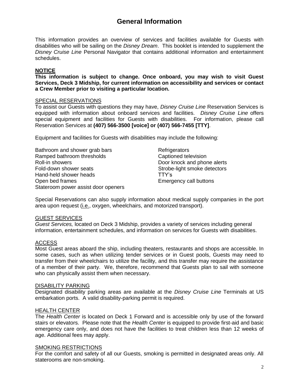## **General Information**

This information provides an overview of services and facilities available for Guests with disabilities who will be sailing on the *Disney Dream*. This booklet is intended to supplement the *Disney Cruise Line* Personal Navigator that contains additional information and entertainment schedules.

#### **NOTICE**

**This information is subject to change. Once onboard, you may wish to visit Guest Services, Deck 3 Midship, for current information on accessibility and services or contact a Crew Member prior to visiting a particular location.**

#### SPECIAL RESERVATIONS

To assist our Guests with questions they may have, *Disney Cruise Line* Reservation Services is equipped with information about onboard services and facilities. *Disney Cruise Line* offers special equipment and facilities for Guests with disabilities. For information, please call Reservation Services at **(407) 566-3500 [voice] or (407) 566-7455 [TTY]**.

Equipment and facilities for Guests with disabilities may include the following:

Bathroom and shower grab bars **Refrigerators** Refrigerators Ramped bathroom thresholds Captioned television Roll-in showers Door knock and phone alerts Fold-down shower seats The Strobe-light smoke detectors Hand-held shower heads TTY's Open bed frames **Emergency call buttons** Stateroom power assist door openers

Special Reservations can also supply information about medical supply companies in the port area upon request (i.e., oxygen, wheelchairs, and motorized transport).

#### GUEST SERVICES

*Guest Services,* located on Deck 3 Midship, provides a variety of services including general information, entertainment schedules, and information on services for Guests with disabilities.

#### ACCESS

Most Guest areas aboard the ship, including theaters, restaurants and shops are accessible. In some cases, such as when utilizing tender services or in Guest pools, Guests may need to transfer from their wheelchairs to utilize the facility, and this transfer may require the assistance of a member of their party. We, therefore, recommend that Guests plan to sail with someone who can physically assist them when necessary.

#### DISABILITY PARKING

Designated disability parking areas are available at the *Disney Cruise Line* Terminals at US embarkation ports. A valid disability-parking permit is required.

#### HEALTH CENTER

The *Health Center* is located on Deck 1 Forward and is accessible only by use of the forward stairs or elevators. Please note that the *Health Center* is equipped to provide first-aid and basic emergency care only, and does not have the facilities to treat children less than 12 weeks of age. Additional fees may apply.

#### **SMOKING RESTRICTIONS**

For the comfort and safety of all our Guests, smoking is permitted in designated areas only. All staterooms are non-smoking.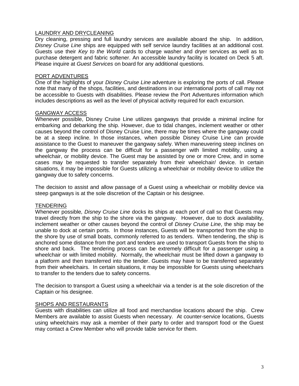#### LAUNDRY AND DRYCLEANING

Dry cleaning, pressing and full laundry services are available aboard the ship. In addition*, Disney Cruise Line* ships are equipped with self service laundry facilities at an additional cost. Guests use their *Key to the World* cards to charge washer and dryer services as well as to purchase detergent and fabric softener. An accessible laundry facility is located on Deck 5 aft. Please inquire at *Guest Services* on board for any additional questions.

#### PORT ADVENTURES

One of the highlights of your *Disney Cruise Line* adventure is exploring the ports of call. Please note that many of the shops, facilities, and destinations in our international ports of call may not be accessible to Guests with disabilities. Please review the Port Adventures information which includes descriptions as well as the level of physical activity required for each excursion.

#### GANGWAY ACCESS

Whenever possible, Disney Cruise Line utilizes gangways that provide a minimal incline for embarking and debarking the ship. However, due to tidal changes, inclement weather or other causes beyond the control of Disney Cruise Line, there may be times where the gangway could be at a steep incline. In those instances, when possible Disney Cruise Line can provide assistance to the Guest to maneuver the gangway safely. When maneuvering steep inclines on the gangway the process can be difficult for a passenger with limited mobility, using a wheelchair, or mobility device. The Guest may be assisted by one or more Crew, and in some cases may be requested to transfer separately from their wheelchair/ device. In certain situations, it may be impossible for Guests utilizing a wheelchair or mobility device to utilize the gangway due to safety concerns.

The decision to assist and allow passage of a Guest using a wheelchair or mobility device via steep gangways is at the sole discretion of the Captain or his designee.

#### TENDERING

Whenever possible*, Disney Cruise Line* docks its ships at each port of call so that Guests may travel directly from the ship to the shore via the gangway. However, due to dock availability, inclement weather or other causes beyond the control of *Disney Cruise Line*, the ship may be unable to dock at certain ports. In those instances, Guests will be transported from the ship to the shore by use of small boats, commonly referred to as tenders. When tendering, the ship is anchored some distance from the port and tenders are used to transport Guests from the ship to shore and back. The tendering process can be extremely difficult for a passenger using a wheelchair or with limited mobility. Normally, the wheelchair must be lifted down a gangway to a platform and then transferred into the tender. Guests may have to be transferred separately from their wheelchairs. In certain situations, it may be impossible for Guests using wheelchairs to transfer to the tenders due to safety concerns.

The decision to transport a Guest using a wheelchair via a tender is at the sole discretion of the Captain or his designee.

#### SHOPS AND RESTAURANTS

Guests with disabilities can utilize all food and merchandise locations aboard the ship. Crew Members are available to assist Guests when necessary. At counter-service locations, Guests using wheelchairs may ask a member of their party to order and transport food or the Guest may contact a Crew Member who will provide table service for them.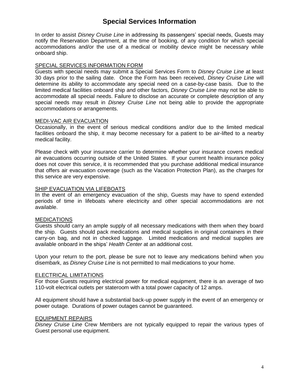## **Special Services Information**

In order to assist *Disney Cruise Line* in addressing its passengers' special needs, Guests may notify the Reservation Department, at the time of booking, of any condition for which special accommodations and/or the use of a medical or mobility device might be necessary while onboard ship.

#### SPECIAL SERVICES INFORMATION FORM

Guests with special needs may submit a Special Services Form to *Disney Cruise Line* at least 30 days prior to the sailing date. Once the Form has been received, *Disney Cruise Line* will determine its ability to accommodate any special need on a case-by-case basis. Due to the limited medical facilities onboard ship and other factors, *Disney Cruise Line* may not be able to accommodate all special needs. Failure to disclose an accurate or complete description of any special needs may result in *Disney Cruise Line* not being able to provide the appropriate accommodations or arrangements.

#### MEDI-VAC AIR EVACUATION

Occasionally, in the event of serious medical conditions and/or due to the limited medical facilities onboard the ship, it may become necessary for a patient to be air-lifted to a nearby medical facility.

Please check with your insurance carrier to determine whether your insurance covers medical air evacuations occurring outside of the United States. If your current health insurance policy does not cover this service, it is recommended that you purchase additional medical insurance that offers air evacuation coverage (such as the Vacation Protection Plan), as the charges for this service are very expensive.

#### SHIP EVACUATION VIA LIFEBOATS

In the event of an emergency evacuation of the ship, Guests may have to spend extended periods of time in lifeboats where electricity and other special accommodations are not available.

#### **MEDICATIONS**

Guests should carry an ample supply of all necessary medications with them when they board the ship. Guests should pack medications and medical supplies in original containers in their carry-on bag, and not in checked luggage. Limited medications and medical supplies are available onboard in the ships' *Health Center* at an additional cost.

Upon your return to the port, please be sure not to leave any medications behind when you disembark, as *Disney Cruise Line* is not permitted to mail medications to your home.

#### ELECTRICAL LIMITATIONS

For those Guests requiring electrical power for medical equipment, there is an average of two 110-volt electrical outlets per stateroom with a total power capacity of 12 amps.

All equipment should have a substantial back-up power supply in the event of an emergency or power outage. Durations of power outages cannot be guaranteed.

#### EQUIPMENT REPAIRS

*Disney Cruise Line* Crew Members are not typically equipped to repair the various types of Guest personal use equipment.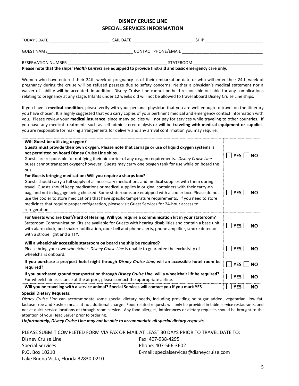#### **DISNEY CRUISE LINE SPECIAL SERVICES INFORMATION**

| <b>TODAY'S DATE</b>       | SAIL DATE                  | <b>SHIP</b> |  |
|---------------------------|----------------------------|-------------|--|
| <b>GUEST NAME</b>         | <b>CONTACT PHONE/EMAIL</b> |             |  |
| <b>RESERVATION NUMBER</b> | STATEROOM                  |             |  |

**Please note that the ships'** *Health Centers* **are equipped to provide first-aid and basic emergency care only.**

Women who have entered their 24th week of pregnancy as of their embarkation date or who will enter their 24th week of pregnancy during the cruise will be refused passage due to safety concerns. Neither a physician's medical statement nor a waiver of liability will be accepted. In addition, Disney Cruise Line cannot be held responsible or liable for any complications relating to pregnancy at any stage. Infants under 12 weeks old will not be allowed to travel aboard Disney Cruise Line ships.

If you have a **medical condition**, please verify with your personal physician that you are well enough to travel on the itinerary you have chosen. It is highly suggested that you carry copies of your pertinent medical and emergency contact information with you. Please review your **medical insurance**, since many policies will not pay for services while traveling to other countries. If you have any medical treatments such as self administered dialysis or will be **traveling with medical equipment or supplies**, you are responsible for making arrangements for delivery and any arrival confirmation you may require.

| Will Guest be utilizing oxygen?<br>Guests must provide their own oxygen. Please note that carriage or use of liquid oxygen systems is<br>not permitted on board Disney Cruise Line ships.<br>Guests are responsible for notifying their air carrier of any oxygen requirements. Disney Cruise Line<br>buses cannot transport oxygen; however, Guests may carry one oxygen tank for use while on board the<br>bus.                                                                                                                                                                                                    | <b>YES</b><br><b>NO</b> |
|----------------------------------------------------------------------------------------------------------------------------------------------------------------------------------------------------------------------------------------------------------------------------------------------------------------------------------------------------------------------------------------------------------------------------------------------------------------------------------------------------------------------------------------------------------------------------------------------------------------------|-------------------------|
| For Guests bringing medication: Will you require a sharps box?<br>Guests should carry a full supply of all necessary medications and medical supplies with them during<br>travel. Guests should keep medications or medical supplies in original containers with their carry-on<br>bag, and not in luggage being checked. Some staterooms are equipped with a cooler box. Please do not<br>use the cooler to store medications that have specific temperature requirements. If you need to store<br>medicines that require proper refrigeration, please visit Guest Services for 24-hour access to<br>refrigeration. | <b>YES</b><br><b>NO</b> |
| For Guests who are Deaf/Hard of Hearing: Will you require a communication kit in your stateroom?<br>Stateroom Communication Kits are available for Guests with hearing disabilities and contain a base unit<br>with alarm clock, bed shaker notification, door bell and phone alerts, phone amplifier, smoke detector<br>with a strobe light and a TTY.                                                                                                                                                                                                                                                              | <b>YES</b><br><b>NO</b> |
| Will a wheelchair accessible stateroom on board the ship be required?<br>Please bring your own wheelchair. Disney Cruise Line is unable to guarantee the exclusivity of<br>wheelchairs onboard.                                                                                                                                                                                                                                                                                                                                                                                                                      | <b>YES</b><br><b>NO</b> |
| If you purchase a pre/post hotel night through Disney Cruise Line, will an accessible hotel room be<br>required?                                                                                                                                                                                                                                                                                                                                                                                                                                                                                                     | <b>YES</b><br><b>NO</b> |
| If you purchased ground transportation through Disney Cruise Line, will a wheelchair lift be required?<br>For wheelchair assistance at the airport, please contact the appropriate airline.                                                                                                                                                                                                                                                                                                                                                                                                                          | <b>YES</b><br><b>NO</b> |
| Will you be traveling with a service animal? Special Services will contact you if you mark YES<br>Canalal Diatam: Damisata:                                                                                                                                                                                                                                                                                                                                                                                                                                                                                          | <b>YES</b><br><b>NO</b> |

**Special Dietary Requests:**

*Disney Cruise Line* can accommodate some special dietary needs, including providing no sugar added, vegetarian, low fat, lactose free and kosher meals at no additional charge. Food-related requests will only be provided in table-service restaurants, and not at quick service locations or through room service. Any food allergies, intolerances or dietary requests should be brought to the attention of your Head Server prior to ordering.

*Unfortunately, Disney Cruise Line may not be able to accommodate all special dietary requests.*

PLEASE SUBMIT COMPLETED FORM VIA FAX OR MAIL AT LEAST 30 DAYS PRIOR TO TRAVEL DATE TO:

Disney Cruise Line Special Services P.O. Box 10210 Lake Buena Vista, Florida 32830-0210 Fax: 407-938-4295 Phone: 407-566-3602 E-mail: specialservices@disneycruise.com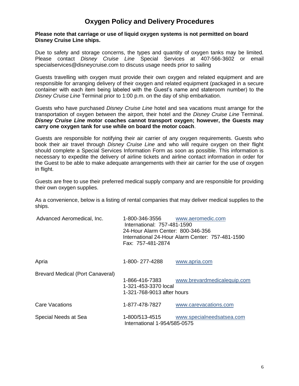## **Oxygen Policy and Delivery Procedures**

#### **Please note that carriage or use of liquid oxygen systems is not permitted on board Disney Cruise Line ships.**

Due to safety and storage concerns, the types and quantity of oxygen tanks may be limited. Please contact *Disney Cruise Line* Special Services at 407-566-3602 or email specialservices@disneycruise.com to discuss usage needs prior to sailing

Guests travelling with oxygen must provide their own oxygen and related equipment and are responsible for arranging delivery of their oxygen and related equipment (packaged in a secure container with each item being labeled with the Guest's name and stateroom number) to the *Disney Cruise Line* Terminal prior to 1:00 p.m. on the day of ship embarkation.

Guests who have purchased *Disney Cruise Line* hotel and sea vacations must arrange for the transportation of oxygen between the airport, their hotel and the *Disney Cruise Line* Terminal. *Disney Cruise Line* **motor coaches cannot transport oxygen; however, the Guests may carry one oxygen tank for use while on board the motor coach**.

Guests are responsible for notifying their air carrier of any oxygen requirements. Guests who book their air travel through *Disney Cruise Line* and who will require oxygen on their flight should complete a Special Services Information Form as soon as possible. This information is necessary to expedite the delivery of airline tickets and airline contact information in order for the Guest to be able to make adequate arrangements with their air carrier for the use of oxygen in flight.

Guests are free to use their preferred medical supply company and are responsible for providing their own oxygen supplies.

As a convenience, below is a listing of rental companies that may deliver medical supplies to the ships.

| Advanced Aeromedical, Inc.              | 1-800-346-3556<br>www.aeromedic.com<br>International: 757-481-1590<br>24-Hour Alarm Center: 800-346-356<br>International 24-Hour Alarm Center: 757-481-1590<br>Fax: 757-481-2874 |                             |
|-----------------------------------------|----------------------------------------------------------------------------------------------------------------------------------------------------------------------------------|-----------------------------|
| Apria                                   | 1-800-277-4288                                                                                                                                                                   | www.apria.com               |
| <b>Brevard Medical (Port Canaveral)</b> | 1-866-416-7383<br>1-321-453-3370 local<br>1-321-768-9013 after hours                                                                                                             | www.brevardmedicalequip.com |
| Care Vacations                          | 1-877-478-7827                                                                                                                                                                   | www.carevacations.com       |
| Special Needs at Sea                    | 1-800/513-4515<br>International 1-954/585-0575                                                                                                                                   | www.specialneedsatsea.com   |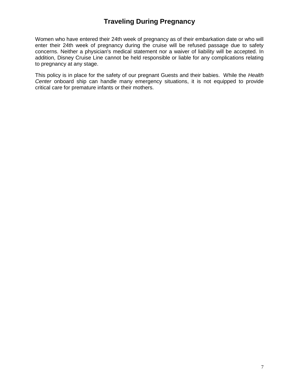## **Traveling During Pregnancy**

Women who have entered their 24th week of pregnancy as of their embarkation date or who will enter their 24th week of pregnancy during the cruise will be refused passage due to safety concerns. Neither a physician's medical statement nor a waiver of liability will be accepted. In addition, Disney Cruise Line cannot be held responsible or liable for any complications relating to pregnancy at any stage.

This policy is in place for the safety of our pregnant Guests and their babies. While the *Health Center* onboard ship can handle many emergency situations, it is not equipped to provide critical care for premature infants or their mothers.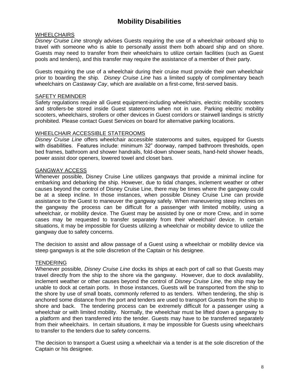## **Mobility Disabilities**

#### **WHEELCHAIRS**

*Disney Cruise Line* strongly advises Guests requiring the use of a wheelchair onboard ship to travel with someone who is able to personally assist them both aboard ship and on shore. Guests may need to transfer from their wheelchairs to utilize certain facilities (such as Guest pools and tenders), and this transfer may require the assistance of a member of their party.

Guests requiring the use of a wheelchair during their cruise must provide their own wheelchair prior to boarding the ship. *Disney Cruise Line* has a limited supply of complimentary beach wheelchairs on *Castaway Cay*, which are available on a first-come, first-served basis.

#### SAFETY REMINDER

Safety regulations require all Guest equipment-including wheelchairs, electric mobility scooters and strollers-be stored inside Guest staterooms when not in use. Parking electric mobility scooters, wheelchairs, strollers or other devices in Guest corridors or stairwell landings is strictly prohibited. Please contact Guest Services on board for alternative parking locations.

#### WHEELCHAIR ACCESSIBLE STATEROOMS

*Disney Cruise Line* offers wheelchair accessible staterooms and suites, equipped for Guests with disabilities. Features include: minimum 32" doorway, ramped bathroom thresholds, open bed frames, bathroom and shower handrails, fold-down shower seats, hand-held shower heads, power assist door openers, lowered towel and closet bars.

#### GANGWAY ACCESS

Whenever possible, Disney Cruise Line utilizes gangways that provide a minimal incline for embarking and debarking the ship. However, due to tidal changes, inclement weather or other causes beyond the control of Disney Cruise Line, there may be times where the gangway could be at a steep incline. In those instances, when possible Disney Cruise Line can provide assistance to the Guest to maneuver the gangway safely. When maneuvering steep inclines on the gangway the process can be difficult for a passenger with limited mobility, using a wheelchair, or mobility device. The Guest may be assisted by one or more Crew, and in some cases may be requested to transfer separately from their wheelchair/ device. In certain situations, it may be impossible for Guests utilizing a wheelchair or mobility device to utilize the gangway due to safety concerns.

The decision to assist and allow passage of a Guest using a wheelchair or mobility device via steep gangways is at the sole discretion of the Captain or his designee.

#### **TENDERING**

Whenever possible*, Disney Cruise Line* docks its ships at each port of call so that Guests may travel directly from the ship to the shore via the gangway. However, due to dock availability, inclement weather or other causes beyond the control of *Disney Cruise Line*, the ship may be unable to dock at certain ports. In those instances, Guests will be transported from the ship to the shore by use of small boats, commonly referred to as tenders. When tendering, the ship is anchored some distance from the port and tenders are used to transport Guests from the ship to shore and back. The tendering process can be extremely difficult for a passenger using a wheelchair or with limited mobility. Normally, the wheelchair must be lifted down a gangway to a platform and then transferred into the tender. Guests may have to be transferred separately from their wheelchairs. In certain situations, it may be impossible for Guests using wheelchairs to transfer to the tenders due to safety concerns.

The decision to transport a Guest using a wheelchair via a tender is at the sole discretion of the Captain or his designee.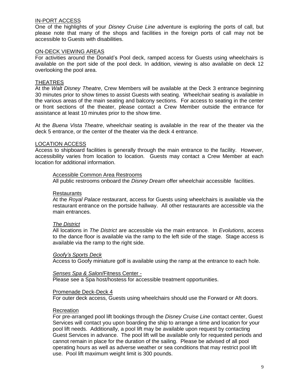#### IN-PORT ACCESS

One of the highlights of your *Disney Cruise Line* adventure is exploring the ports of call, but please note that many of the shops and facilities in the foreign ports of call may not be accessible to Guests with disabilities.

#### ON-DECK VIEWING AREAS

For activities around the Donald's Pool deck, ramped access for Guests using wheelchairs is available on the port side of the pool deck. In addition, viewing is also available on deck 12 overlooking the pool area.

#### **THEATRES**

At the *Walt Disney Theatre*, Crew Members will be available at the Deck 3 entrance beginning 30 minutes prior to show times to assist Guests with seating. Wheelchair seating is available in the various areas of the main seating and balcony sections. For access to seating in the center or front sections of the theater, please contact a Crew Member outside the entrance for assistance at least 10 minutes prior to the show time.

At the *Buena Vista Theatre*, wheelchair seating is available in the rear of the theater via the deck 5 entrance, or the center of the theater via the deck 4 entrance.

#### LOCATION ACCESS

Access to shipboard facilities is generally through the main entrance to the facility. However, accessibility varies from location to location. Guests may contact a Crew Member at each location for additional information.

#### Accessible Common Area Restrooms

All public restrooms onboard the *Disney Dream* offer wheelchair accessible facilities.

#### **Restaurants**

At the *Royal Palace* restaurant, access for Guests using wheelchairs is available via the restaurant entrance on the portside hallway. All other restaurants are accessible via the main entrances.

#### *The District*

All locations in *The District* are accessible via the main entrance. In *Evolutions*, access to the dance floor is available via the ramp to the left side of the stage. Stage access is available via the ramp to the right side.

#### *Goofy's Sports Deck*

Access to Goofy miniature golf is available using the ramp at the entrance to each hole.

#### *Senses Spa & Salon*/Fitness Center -

Please see a Spa host/hostess for accessible treatment opportunities.

#### Promenade Deck-Deck 4

For outer deck access, Guests using wheelchairs should use the Forward or Aft doors.

#### Recreation

For pre-arranged pool lift bookings through the *Disney Cruise Line* contact center, Guest Services will contact you upon boarding the ship to arrange a time and location for your pool lift needs. Additionally, a pool lift may be available upon request by contacting Guest Services in advance. The pool lift will be available only for requested periods and cannot remain in place for the duration of the sailing. Please be advised of all pool operating hours as well as adverse weather or sea conditions that may restrict pool lift use. Pool lift maximum weight limit is 300 pounds.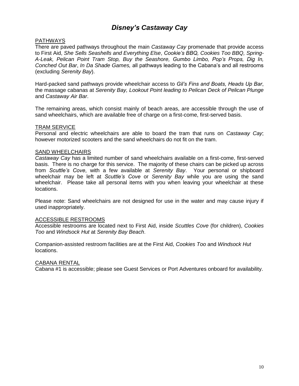## *Disney's Castaway Cay*

#### PATHWAYS

There are paved pathways throughout the main *Castaway Cay* promenade that provide access to First Aid, *She Sells Seashells and Everything Else*, *Cookie's BBQ, Cookies Too BBQ, Spring-A-Leak, Pelican Point Tram Stop, Buy the Seashore, Gumbo Limbo, Pop's Props, Dig In, Conched Out Bar*, *In Da Shade Games,* all pathways leading to the Cabana's and all restrooms (excluding *Serenity Bay*).

Hard-packed sand pathways provide wheelchair access to *Gil's Fins and Boats, Heads Up Bar*, the massage cabanas at *Serenity Bay, Lookout Point leading to Pelican Deck of Pelican Plunge* and *Castaway Air Bar*.

The remaining areas, which consist mainly of beach areas, are accessible through the use of sand wheelchairs, which are available free of charge on a first-come, first-served basis.

#### TRAM SERVICE

Personal and electric wheelchairs are able to board the tram that runs on *Castaway Cay*; however motorized scooters and the sand wheelchairs do not fit on the tram.

#### **SAND WHEELCHAIRS**

*Castaway Cay* has a limited number of sand wheelchairs available on a first-come, first-served basis. There is no charge for this service. The majority of these chairs can be picked up across from *Scuttle's Cove*, with a few available at *Serenity Bay*. Your personal or shipboard wheelchair may be left at *Scuttle's Cove* or *Serenity Bay* while you are using the sand wheelchair. Please take all personal items with you when leaving your wheelchair at these locations.

Please note: Sand wheelchairs are not designed for use in the water and may cause injury if used inappropriately.

#### ACCESSIBLE RESTROOMS

Accessible restrooms are located next to First Aid, inside *Scuttles Cove* (for children), *Cookies Too* and *Windsock Hut* at *Serenity Bay Beach*.

Companion-assisted restroom facilities are at the First Aid, *Cookies Too* and *Windsock Hut* locations.

#### CABANA RENTAL

Cabana #1 is accessible; please see Guest Services or Port Adventures onboard for availability.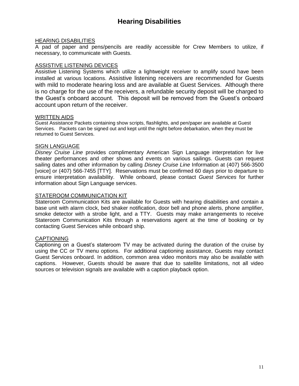## **Hearing Disabilities**

#### HEARING DISABILITIES

A pad of paper and pens/pencils are readily accessible for Crew Members to utilize, if necessary, to communicate with Guests.

#### ASSISTIVE LISTENING DEVICES

Assistive Listening Systems which utilize a lightweight receiver to amplify sound have been installed at various locations. Assistive listening receivers are recommended for Guests with mild to moderate hearing loss and are available at Guest Services. Although there is no charge for the use of the receivers, a refundable security deposit will be charged to the Guest's onboard account. This deposit will be removed from the Guest's onboard account upon return of the receiver.

#### WRITTEN AIDS

Guest Assistance Packets containing show scripts, flashlights, and pen/paper are available at Guest Services. Packets can be signed out and kept until the night before debarkation, when they must be returned to Guest Services.

#### SIGN LANGUAGE

*Disney Cruise Line* provides complimentary American Sign Language interpretation for live theater performances and other shows and events on various sailings. Guests can request sailing dates and other information by calling *Disney Cruise Line* Information at (407) 566-3500 [voice] or (407) 566-7455 [TTY]. Reservations must be confirmed 60 days prior to departure to ensure interpretation availability. While onboard, please contact *Guest Services* for further information about Sign Language services.

#### STATEROOM COMMUNICATION KIT

Stateroom Communication Kits are available for Guests with hearing disabilities and contain a base unit with alarm clock, bed shaker notification, door bell and phone alerts, phone amplifier, smoke detector with a strobe light, and a TTY. Guests may make arrangements to receive Stateroom Communication Kits through a reservations agent at the time of booking or by contacting Guest Services while onboard ship.

#### CAPTIONING

Captioning on a Guest's stateroom TV may be activated during the duration of the cruise by using the CC or TV menu options. For additional captioning assistance, Guests may contact Guest Services onboard. In addition, common area video monitors may also be available with captions. However, Guests should be aware that due to satellite limitations, not all video sources or television signals are available with a caption playback option.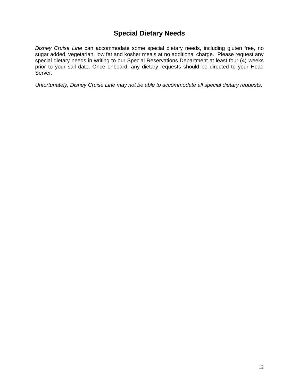## **Special Dietary Needs**

*Disney Cruise Line* can accommodate some special dietary needs, including gluten free, no sugar added, vegetarian, low fat and kosher meals at no additional charge. Please request any special dietary needs in writing to our Special Reservations Department at least four (4) weeks prior to your sail date. Once onboard, any dietary requests should be directed to your Head Server.

*Unfortunately, Disney Cruise Line may not be able to accommodate all special dietary requests.*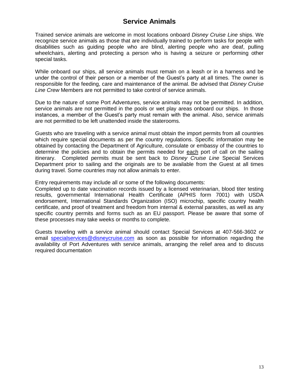## **Service Animals**

Trained service animals are welcome in most locations onboard *Disney Cruise Line* ships. We recognize service animals as those that are individually trained to perform tasks for people with disabilities such as guiding people who are blind, alerting people who are deaf, pulling wheelchairs, alerting and protecting a person who is having a seizure or performing other special tasks.

While onboard our ships, all service animals must remain on a leash or in a harness and be under the control of their person or a member of the Guest's party at all times. The owner is responsible for the feeding, care and maintenance of the animal. Be advised that *Disney Cruise Line Crew* Members are not permitted to take control of service animals.

Due to the nature of some Port Adventures, service animals may not be permitted. In addition, service animals are not permitted in the pools or wet play areas onboard our ships. In those instances, a member of the Guest's party must remain with the animal. Also, service animals are not permitted to be left unattended inside the staterooms.

Guests who are traveling with a service animal must obtain the import permits from all countries which require special documents as per the country regulations. Specific information may be obtained by contacting the Department of Agriculture, consulate or embassy of the countries to determine the policies and to obtain the permits needed for each port of call on the sailing itinerary. Completed permits must be sent back to *Disney Cruise Line* Special Services Department prior to sailing and the originals are to be available from the Guest at all times during travel. Some countries may not allow animals to enter.

Entry requirements may include all or some of the following documents:

Completed up to date vaccination records issued by a licensed veterinarian, blood titer testing results, governmental International Health Certificate (APHIS form 7001) with USDA endorsement, International Standards Organization (ISO) microchip, specific country health certificate, and proof of treatment and freedom from internal & external parasites, as well as any specific country permits and forms such as an EU passport. Please be aware that some of these processes may take weeks or months to complete.

Guests traveling with a service animal should contact Special Services at 407-566-3602 or email [specialservices@disneycruise.com](mailto:specialservices@disneycruise.com) as soon as possible for information regarding the availability of Port Adventures with service animals, arranging the relief area and to discuss required documentation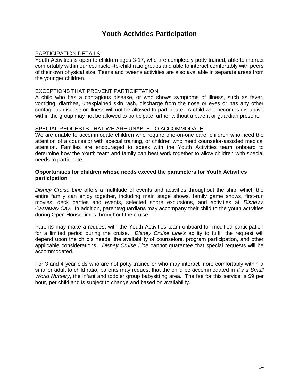## **Youth Activities Participation**

#### PARTICIPATION DETAILS

Youth Activities is open to children ages 3-17, who are completely potty trained, able to interact comfortably within our counselor-to-child ratio groups and able to interact comfortably with peers of their own physical size. Teens and tweens activities are also available in separate areas from the younger children.

#### EXCEPTIONS THAT PREVENT PARTICIPTATION

A child who has a contagious disease, or who shows symptoms of illness, such as fever, vomiting, diarrhea, unexplained skin rash, discharge from the nose or eyes or has any other contagious disease or illness will not be allowed to participate. A child who becomes disruptive within the group may not be allowed to participate further without a parent or guardian present.

#### SPECIAL REQUESTS THAT WE ARE UNABLE TO ACCOMMODATE

We are unable to accommodate children who require one-on-one care, children who need the attention of a counselor with special training, or children who need counselor-assisted medical attention. Families are encouraged to speak with the Youth Activities team onboard to determine how the Youth team and family can best work together to allow children with special needs to participate.

#### **Opportunities for children whose needs exceed the parameters for Youth Activities participation**

*Disney Cruise Line* offers a multitude of events and activities throughout the ship, which the entire family can enjoy together, including main stage shows, family game shows, first-run movies, deck parties and events, selected shore excursions, and activities at *Disney's Castaway Cay*. In addition, parents/guardians may accompany their child to the youth activities during Open House times throughout the cruise.

Parents may make a request with the Youth Activities team onboard for modified participation for a limited period during the cruise. *Disney Cruise Line's* ability to fulfill the request will depend upon the child's needs, the availability of counselors, program participation, and other applicable considerations. *Disney Cruise Line* cannot guarantee that special requests will be accommodated.

For 3 and 4 year olds who are not potty trained or who may interact more comfortably within a smaller adult to child ratio, parents may request that the child be accommodated in *It's a Small World Nursery*, the infant and toddler group babysitting area. The fee for this service is \$9 per hour, per child and is subject to change and based on availability.